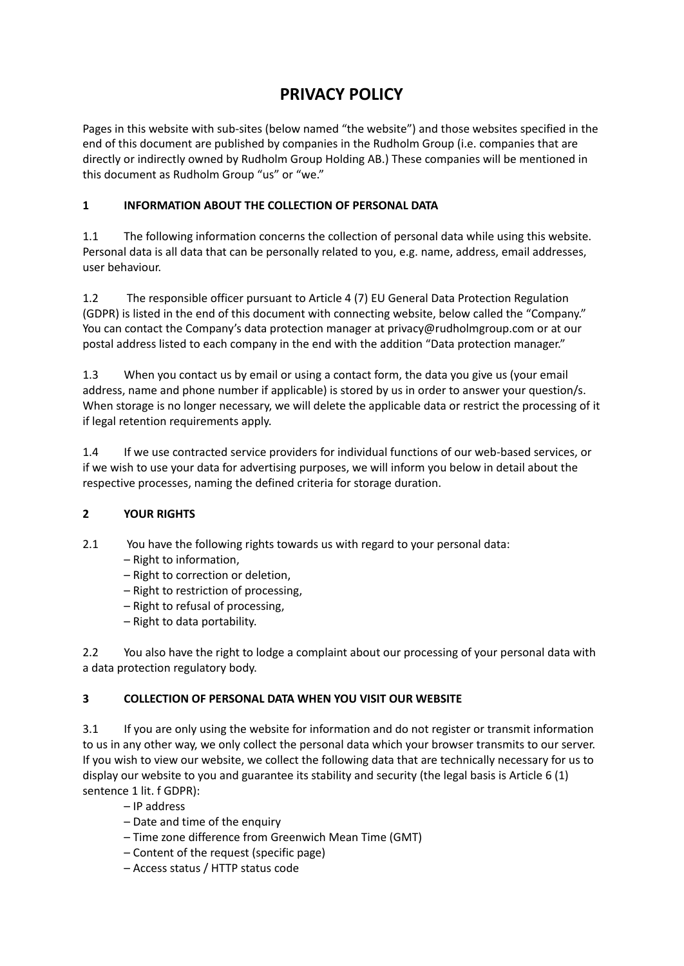# **PRIVACY POLICY**

Pages in this website with sub-sites (below named "the website") and those websites specified in the end of this document are published by companies in the Rudholm Group (i.e. companies that are directly or indirectly owned by Rudholm Group Holding AB.) These companies will be mentioned in this document as Rudholm Group "us" or "we."

## **1 INFORMATION ABOUT THE COLLECTION OF PERSONAL DATA**

1.1 The following information concerns the collection of personal data while using this website. Personal data is all data that can be personally related to you, e.g. name, address, email addresses, user behaviour.

1.2 The responsible officer pursuant to Article 4 (7) EU General Data Protection Regulation (GDPR) is listed in the end of this document with connecting website, below called the "Company." You can contact the Company's data protection manager at privacy@rudholmgroup.com or at our postal address listed to each company in the end with the addition "Data protection manager."

1.3 When you contact us by email or using a contact form, the data you give us (your email address, name and phone number if applicable) is stored by us in order to answer your question/s. When storage is no longer necessary, we will delete the applicable data or restrict the processing of it if legal retention requirements apply.

1.4 If we use contracted service providers for individual functions of our web-based services, or if we wish to use your data for advertising purposes, we will inform you below in detail about the respective processes, naming the defined criteria for storage duration.

## **2 YOUR RIGHTS**

- 2.1 You have the following rights towards us with regard to your personal data:
	- Right to information,
	- Right to correction or deletion,
	- Right to restriction of processing,
	- Right to refusal of processing,
	- Right to data portability.

2.2 You also have the right to lodge a complaint about our processing of your personal data with a data protection regulatory body.

## **3 COLLECTION OF PERSONAL DATA WHEN YOU VISIT OUR WEBSITE**

3.1 If you are only using the website for information and do not register or transmit information to us in any other way, we only collect the personal data which your browser transmits to our server. If you wish to view our website, we collect the following data that are technically necessary for us to display our website to you and guarantee its stability and security (the legal basis is Article 6 (1) sentence 1 lit. f GDPR):

- IP address
- Date and time of the enquiry
- Time zone difference from Greenwich Mean Time (GMT)
- Content of the request (specific page)
- Access status / HTTP status code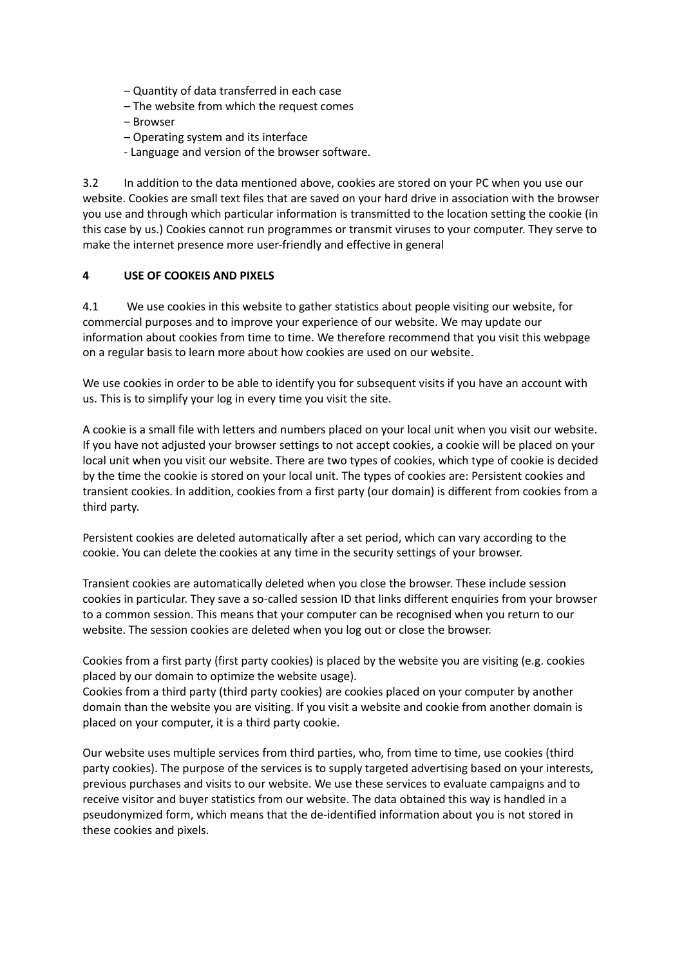- Quantity of data transferred in each case
- The website from which the request comes
- Browser
- Operating system and its interface
- Language and version of the browser software.

3.2 In addition to the data mentioned above, cookies are stored on your PC when you use our website. Cookies are small text files that are saved on your hard drive in association with the browser you use and through which particular information is transmitted to the location setting the cookie (in this case by us.) Cookies cannot run programmes or transmit viruses to your computer. They serve to make the internet presence more user-friendly and effective in general

#### **4 USE OF COOKEIS AND PIXELS**

4.1 We use cookies in this website to gather statistics about people visiting our website, for commercial purposes and to improve your experience of our website. We may update our information about cookies from time to time. We therefore recommend that you visit this webpage on a regular basis to learn more about how cookies are used on our website.

We use cookies in order to be able to identify you for subsequent visits if you have an account with us. This is to simplify your log in every time you visit the site.

A cookie is a small file with letters and numbers placed on your local unit when you visit our website. If you have not adjusted your browser settings to not accept cookies, a cookie will be placed on your local unit when you visit our website. There are two types of cookies, which type of cookie is decided by the time the cookie is stored on your local unit. The types of cookies are: Persistent cookies and transient cookies. In addition, cookies from a first party (our domain) is different from cookies from a third party.

Persistent cookies are deleted automatically after a set period, which can vary according to the cookie. You can delete the cookies at any time in the security settings of your browser.

Transient cookies are automatically deleted when you close the browser. These include session cookies in particular. They save a so-called session ID that links different enquiries from your browser to a common session. This means that your computer can be recognised when you return to our website. The session cookies are deleted when you log out or close the browser.

Cookies from a first party (first party cookies) is placed by the website you are visiting (e.g. cookies placed by our domain to optimize the website usage).

Cookies from a third party (third party cookies) are cookies placed on your computer by another domain than the website you are visiting. If you visit a website and cookie from another domain is placed on your computer, it is a third party cookie.

Our website uses multiple services from third parties, who, from time to time, use cookies (third party cookies). The purpose of the services is to supply targeted advertising based on your interests, previous purchases and visits to our website. We use these services to evaluate campaigns and to receive visitor and buyer statistics from our website. The data obtained this way is handled in a pseudonymized form, which means that the de-identified information about you is not stored in these cookies and pixels.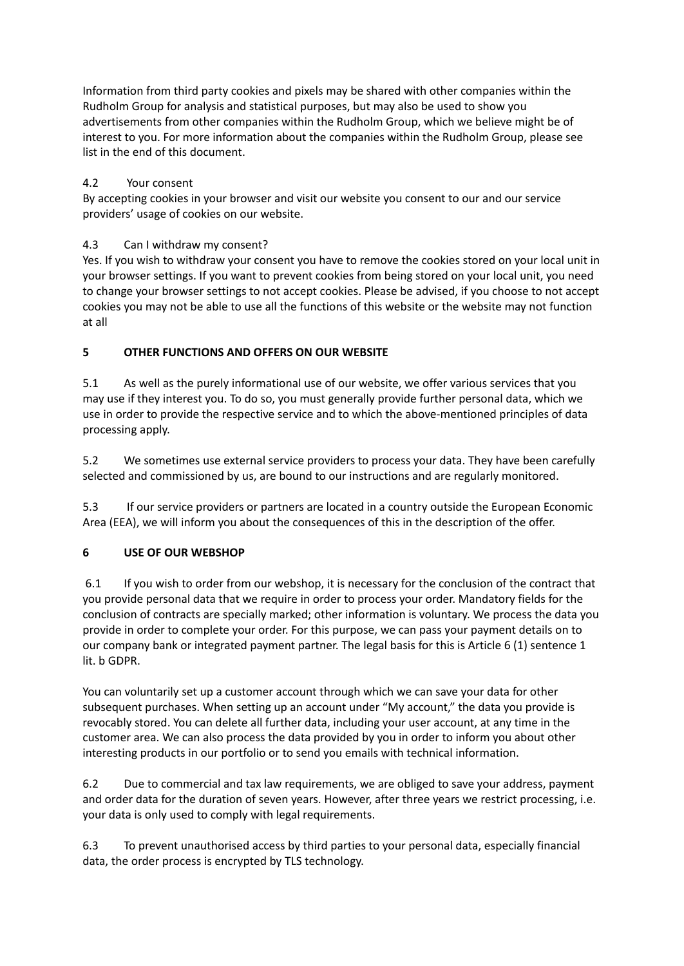Information from third party cookies and pixels may be shared with other companies within the Rudholm Group for analysis and statistical purposes, but may also be used to show you advertisements from other companies within the Rudholm Group, which we believe might be of interest to you. For more information about the companies within the Rudholm Group, please see list in the end of this document.

## 4.2 Your consent

By accepting cookies in your browser and visit our website you consent to our and our service providers' usage of cookies on our website.

## 4.3 Can I withdraw my consent?

Yes. If you wish to withdraw your consent you have to remove the cookies stored on your local unit in your browser settings. If you want to prevent cookies from being stored on your local unit, you need to change your browser settings to not accept cookies. Please be advised, if you choose to not accept cookies you may not be able to use all the functions of this website or the website may not function at all

## **5 OTHER FUNCTIONS AND OFFERS ON OUR WEBSITE**

5.1 As well as the purely informational use of our website, we offer various services that you may use if they interest you. To do so, you must generally provide further personal data, which we use in order to provide the respective service and to which the above-mentioned principles of data processing apply.

5.2 We sometimes use external service providers to process your data. They have been carefully selected and commissioned by us, are bound to our instructions and are regularly monitored.

5.3 If our service providers or partners are located in a country outside the European Economic Area (EEA), we will inform you about the consequences of this in the description of the offer.

### **6 USE OF OUR WEBSHOP**

6.1 If you wish to order from our webshop, it is necessary for the conclusion of the contract that you provide personal data that we require in order to process your order. Mandatory fields for the conclusion of contracts are specially marked; other information is voluntary. We process the data you provide in order to complete your order. For this purpose, we can pass your payment details on to our company bank or integrated payment partner. The legal basis for this is Article 6 (1) sentence 1 lit. b GDPR.

You can voluntarily set up a customer account through which we can save your data for other subsequent purchases. When setting up an account under "My account," the data you provide is revocably stored. You can delete all further data, including your user account, at any time in the customer area. We can also process the data provided by you in order to inform you about other interesting products in our portfolio or to send you emails with technical information.

6.2 Due to commercial and tax law requirements, we are obliged to save your address, payment and order data for the duration of seven years. However, after three years we restrict processing, i.e. your data is only used to comply with legal requirements.

6.3 To prevent unauthorised access by third parties to your personal data, especially financial data, the order process is encrypted by TLS technology.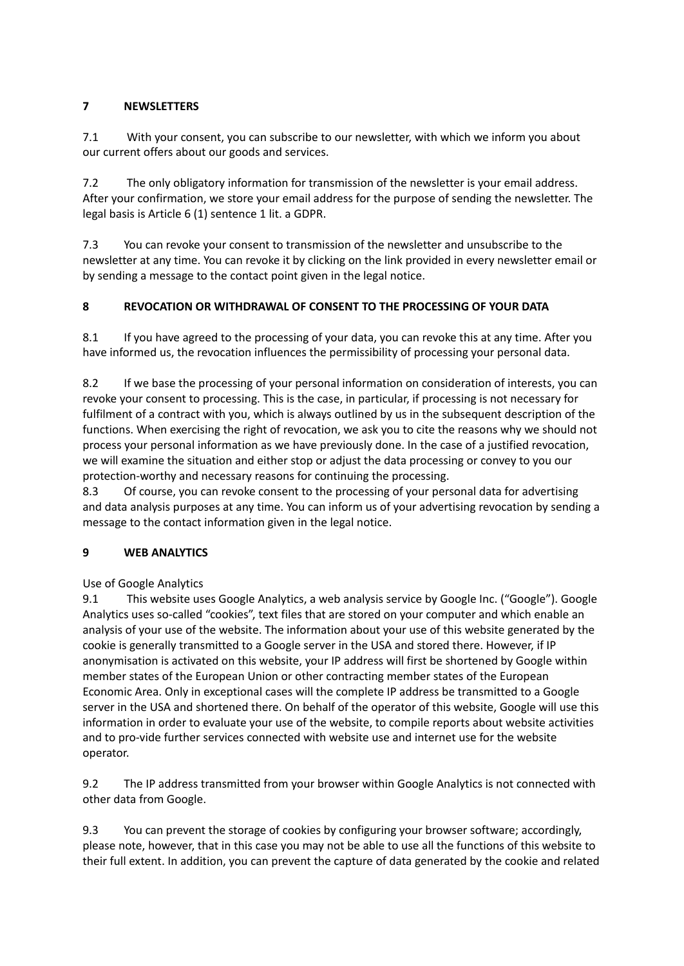## **7 NEWSLETTERS**

7.1 With your consent, you can subscribe to our newsletter, with which we inform you about our current offers about our goods and services.

7.2 The only obligatory information for transmission of the newsletter is your email address. After your confirmation, we store your email address for the purpose of sending the newsletter. The legal basis is Article 6 (1) sentence 1 lit. a GDPR.

7.3 You can revoke your consent to transmission of the newsletter and unsubscribe to the newsletter at any time. You can revoke it by clicking on the link provided in every newsletter email or by sending a message to the contact point given in the legal notice.

## **8 REVOCATION OR WITHDRAWAL OF CONSENT TO THE PROCESSING OF YOUR DATA**

8.1 If you have agreed to the processing of your data, you can revoke this at any time. After you have informed us, the revocation influences the permissibility of processing your personal data.

8.2 If we base the processing of your personal information on consideration of interests, you can revoke your consent to processing. This is the case, in particular, if processing is not necessary for fulfilment of a contract with you, which is always outlined by us in the subsequent description of the functions. When exercising the right of revocation, we ask you to cite the reasons why we should not process your personal information as we have previously done. In the case of a justified revocation, we will examine the situation and either stop or adjust the data processing or convey to you our protection-worthy and necessary reasons for continuing the processing.

8.3 Of course, you can revoke consent to the processing of your personal data for advertising and data analysis purposes at any time. You can inform us of your advertising revocation by sending a message to the contact information given in the legal notice.

### **9 WEB ANALYTICS**

Use of Google Analytics

9.1 This website uses Google Analytics, a web analysis service by Google Inc. ("Google"). Google Analytics uses so-called "cookies", text files that are stored on your computer and which enable an analysis of your use of the website. The information about your use of this website generated by the cookie is generally transmitted to a Google server in the USA and stored there. However, if IP anonymisation is activated on this website, your IP address will first be shortened by Google within member states of the European Union or other contracting member states of the European Economic Area. Only in exceptional cases will the complete IP address be transmitted to a Google server in the USA and shortened there. On behalf of the operator of this website, Google will use this information in order to evaluate your use of the website, to compile reports about website activities and to pro-vide further services connected with website use and internet use for the website operator.

9.2 The IP address transmitted from your browser within Google Analytics is not connected with other data from Google.

9.3 You can prevent the storage of cookies by configuring your browser software; accordingly, please note, however, that in this case you may not be able to use all the functions of this website to their full extent. In addition, you can prevent the capture of data generated by the cookie and related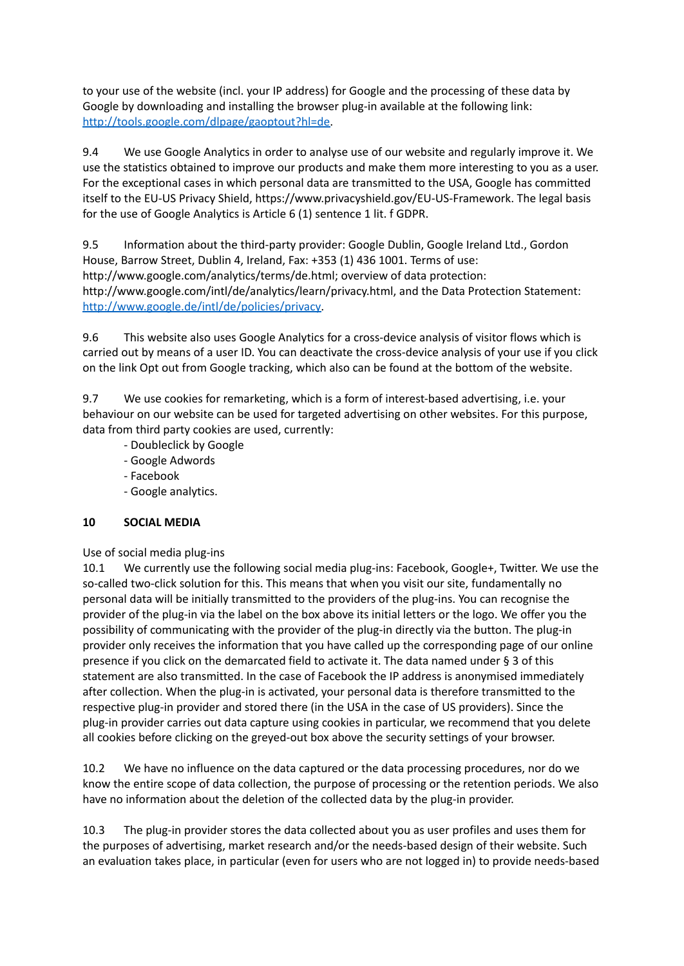to your use of the website (incl. your IP address) for Google and the processing of these data by Google by downloading and installing the browser plug-in available at the following link: [http://tools.google.com/dlpage/gaoptout?hl=de.](http://tools.google.com/dlpage/gaoptout?hl=de)

9.4 We use Google Analytics in order to analyse use of our website and regularly improve it. We use the statistics obtained to improve our products and make them more interesting to you as a user. For the exceptional cases in which personal data are transmitted to the USA, Google has committed itself to the EU-US Privacy Shield, https://www.privacyshield.gov/EU-US-Framework. The legal basis for the use of Google Analytics is Article 6 (1) sentence 1 lit. f GDPR.

9.5 Information about the third-party provider: Google Dublin, Google Ireland Ltd., Gordon House, Barrow Street, Dublin 4, Ireland, Fax: +353 (1) 436 1001. Terms of use: http://www.google.com/analytics/terms/de.html; overview of data protection: http://www.google.com/intl/de/analytics/learn/privacy.html, and the Data Protection Statement: [http://www.google.de/intl/de/policies/privacy.](http://www.google.de/intl/de/policies/privacy)

9.6 This website also uses Google Analytics for a cross-device analysis of visitor flows which is carried out by means of a user ID. You can deactivate the cross-device analysis of your use if you click on the link Opt out from Google tracking, which also can be found at the bottom of the website.

9.7 We use cookies for remarketing, which is a form of interest-based advertising, i.e. your behaviour on our website can be used for targeted advertising on other websites. For this purpose, data from third party cookies are used, currently:

- Doubleclick by Google
- Google Adwords
- Facebook
- Google analytics.

### **10 SOCIAL MEDIA**

Use of social media plug-ins

10.1 We currently use the following social media plug-ins: Facebook, Google+, Twitter. We use the so-called two-click solution for this. This means that when you visit our site, fundamentally no personal data will be initially transmitted to the providers of the plug-ins. You can recognise the provider of the plug-in via the label on the box above its initial letters or the logo. We offer you the possibility of communicating with the provider of the plug-in directly via the button. The plug-in provider only receives the information that you have called up the corresponding page of our online presence if you click on the demarcated field to activate it. The data named under § 3 of this statement are also transmitted. In the case of Facebook the IP address is anonymised immediately after collection. When the plug-in is activated, your personal data is therefore transmitted to the respective plug-in provider and stored there (in the USA in the case of US providers). Since the plug-in provider carries out data capture using cookies in particular, we recommend that you delete all cookies before clicking on the greyed-out box above the security settings of your browser.

10.2 We have no influence on the data captured or the data processing procedures, nor do we know the entire scope of data collection, the purpose of processing or the retention periods. We also have no information about the deletion of the collected data by the plug-in provider.

10.3 The plug-in provider stores the data collected about you as user profiles and uses them for the purposes of advertising, market research and/or the needs-based design of their website. Such an evaluation takes place, in particular (even for users who are not logged in) to provide needs-based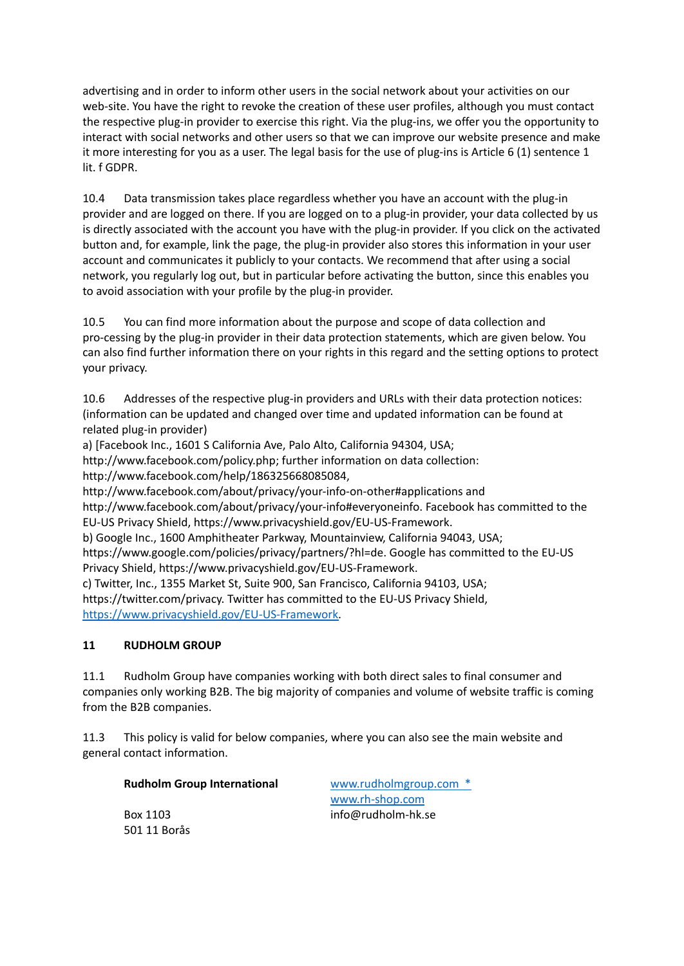advertising and in order to inform other users in the social network about your activities on our web-site. You have the right to revoke the creation of these user profiles, although you must contact the respective plug-in provider to exercise this right. Via the plug-ins, we offer you the opportunity to interact with social networks and other users so that we can improve our website presence and make it more interesting for you as a user. The legal basis for the use of plug-ins is Article 6 (1) sentence 1 lit. f GDPR.

10.4 Data transmission takes place regardless whether you have an account with the plug-in provider and are logged on there. If you are logged on to a plug-in provider, your data collected by us is directly associated with the account you have with the plug-in provider. If you click on the activated button and, for example, link the page, the plug-in provider also stores this information in your user account and communicates it publicly to your contacts. We recommend that after using a social network, you regularly log out, but in particular before activating the button, since this enables you to avoid association with your profile by the plug-in provider.

10.5 You can find more information about the purpose and scope of data collection and pro-cessing by the plug-in provider in their data protection statements, which are given below. You can also find further information there on your rights in this regard and the setting options to protect your privacy.

10.6 Addresses of the respective plug-in providers and URLs with their data protection notices: (information can be updated and changed over time and updated information can be found at related plug-in provider)

a) [Facebook Inc., 1601 S California Ave, Palo Alto, California 94304, USA;

http://www.facebook.com/policy.php; further information on data collection:

http://www.facebook.com/help/186325668085084,

http://www.facebook.com/about/privacy/your-info-on-other#applications and http://www.facebook.com/about/privacy/your-info#everyoneinfo. Facebook has committed to the EU-US Privacy Shield, https://www.privacyshield.gov/EU-US-Framework.

b) Google Inc., 1600 Amphitheater Parkway, Mountainview, California 94043, USA;

https://www.google.com/policies/privacy/partners/?hl=de. Google has committed to the EU-US Privacy Shield, https://www.privacyshield.gov/EU-US-Framework.

c) Twitter, Inc., 1355 Market St, Suite 900, San Francisco, California 94103, USA; https://twitter.com/privacy. Twitter has committed to the EU-US Privacy Shield, [https://www.privacyshield.gov/EU-US-Framework.](https://www.privacyshield.gov/EU-US-Framework)

## **11 RUDHOLM GROUP**

11.1 Rudholm Group have companies working with both direct sales to final consumer and companies only working B2B. The big majority of companies and volume of website traffic is coming from the B2B companies.

11.3 This policy is valid for below companies, where you can also see the main website and general contact information.

### **Rudholm Group International** [www.rudholmgroup.com](http://www.rudholmgroup.com) \*

501 11 Borås

[www.rh-shop.com](http://www.rh-shop.com) Box 1103 info@rudholm-hk.se